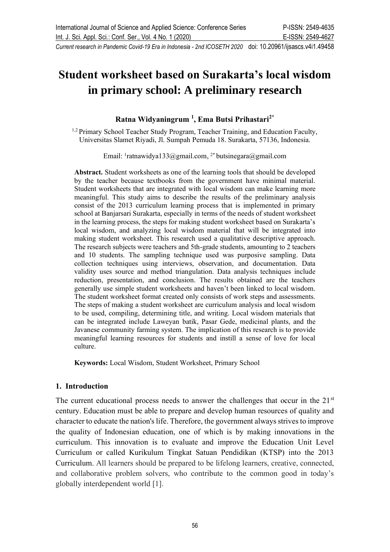# **Student worksheet based on Surakarta's local wisdom in primary school: A preliminary research**

## **Ratna Widyaningrum <sup>1</sup> , Ema Butsi Prihastari2\***

<sup>1,2</sup> Primary School Teacher Study Program, Teacher Training, and Education Faculty, Universitas Slamet Riyadi, Jl. Sumpah Pemuda 18. Surakarta, 57136, Indonesia.

Email: <sup>1</sup>[ratnawidya133@gmail.com,](mailto:ratnawidya133@gmail.com) <sup>2\*</sup> [butsinegara@gmail.com](mailto:butsinegara@gmail.com)

**Abstract.** Student worksheets as one of the learning tools that should be developed by the teacher because textbooks from the government have minimal material. Student worksheets that are integrated with local wisdom can make learning more meaningful. This study aims to describe the results of the preliminary analysis consist of the 2013 curriculum learning process that is implemented in primary school at Banjarsari Surakarta, especially in terms of the needs of student worksheet in the learning process, the steps for making student worksheet based on Surakarta's local wisdom, and analyzing local wisdom material that will be integrated into making student worksheet. This research used a qualitative descriptive approach. The research subjects were teachers and 5th-grade students, amounting to 2 teachers and 10 students. The sampling technique used was purposive sampling. Data collection techniques using interviews, observation, and documentation. Data validity uses source and method triangulation. Data analysis techniques include reduction, presentation, and conclusion. The results obtained are the teachers generally use simple student worksheets and haven't been linked to local wisdom. The student worksheet format created only consists of work steps and assessments. The steps of making a student worksheet are curriculum analysis and local wisdom to be used, compiling, determining title, and writing. Local wisdom materials that can be integrated include Laweyan batik, Pasar Gede, medicinal plants, and the Javanese community farming system. The implication of this research is to provide meaningful learning resources for students and instill a sense of love for local culture.

**Keywords:** Local Wisdom, Student Worksheet, Primary School

#### **1. Introduction**

The current educational process needs to answer the challenges that occur in the  $21<sup>st</sup>$ century. Education must be able to prepare and develop human resources of quality and character to educate the nation's life. Therefore, the government always strives to improve the quality of Indonesian education, one of which is by making innovations in the curriculum. This innovation is to evaluate and improve the Education Unit Level Curriculum or called Kurikulum Tingkat Satuan Pendidikan (KTSP) into the 2013 Curriculum. All learners should be prepared to be lifelong learners, creative, connected, and collaborative problem solvers, who contribute to the common good in today's globally interdependent world [1].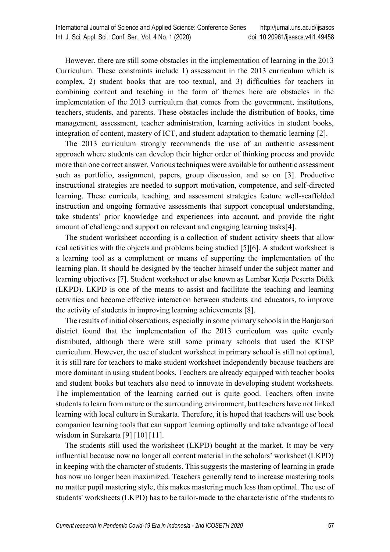However, there are still some obstacles in the implementation of learning in the 2013 Curriculum. These constraints include 1) assessment in the 2013 curriculum which is complex, 2) student books that are too textual, and 3) difficulties for teachers in combining content and teaching in the form of themes here are obstacles in the implementation of the 2013 curriculum that comes from the government, institutions, teachers, students, and parents. These obstacles include the distribution of books, time management, assessment, teacher administration, learning activities in student books, integration of content, mastery of ICT, and student adaptation to thematic learning [2].

The 2013 curriculum strongly recommends the use of an authentic assessment approach where students can develop their higher order of thinking process and provide more than one correct answer. Various techniques were available for authentic assessment such as portfolio, assignment, papers, group discussion, and so on [3]. Productive instructional strategies are needed to support motivation, competence, and self-directed learning. These curricula, teaching, and assessment strategies feature well-scaffolded instruction and ongoing formative assessments that support conceptual understanding, take students' prior knowledge and experiences into account, and provide the right amount of challenge and support on relevant and engaging learning tasks[4].

The student worksheet according is a collection of student activity sheets that allow real activities with the objects and problems being studied [5][6]. A student worksheet is a learning tool as a complement or means of supporting the implementation of the learning plan. It should be designed by the teacher himself under the subject matter and learning objectives [7]. Student worksheet or also known as Lembar Kerja Peserta Didik (LKPD). LKPD is one of the means to assist and facilitate the teaching and learning activities and become effective interaction between students and educators, to improve the activity of students in improving learning achievements [8].

The results of initial observations, especially in some primary schools in the Banjarsari district found that the implementation of the 2013 curriculum was quite evenly distributed, although there were still some primary schools that used the KTSP curriculum. However, the use of student worksheet in primary school is still not optimal, it is still rare for teachers to make student worksheet independently because teachers are more dominant in using student books. Teachers are already equipped with teacher books and student books but teachers also need to innovate in developing student worksheets. The implementation of the learning carried out is quite good. Teachers often invite students to learn from nature or the surrounding environment, but teachers have not linked learning with local culture in Surakarta. Therefore, it is hoped that teachers will use book companion learning tools that can support learning optimally and take advantage of local wisdom in Surakarta [9] [10] [11].

The students still used the worksheet (LKPD) bought at the market. It may be very influential because now no longer all content material in the scholars' worksheet (LKPD) in keeping with the character of students. This suggests the mastering of learning in grade has now no longer been maximized. Teachers generally tend to increase mastering tools no matter pupil mastering style, this makes mastering much less than optimal. The use of students' worksheets (LKPD) has to be tailor-made to the characteristic of the students to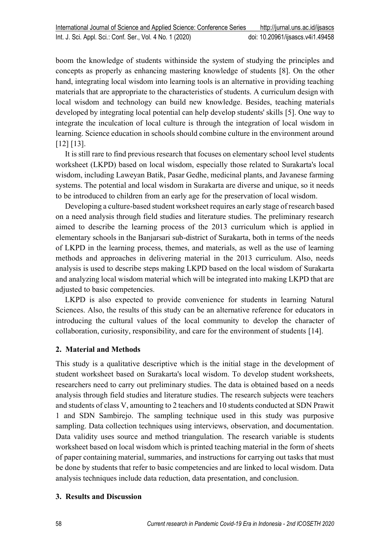boom the knowledge of students withinside the system of studying the principles and concepts as properly as enhancing mastering knowledge of students [8]. On the other hand, integrating local wisdom into learning tools is an alternative in providing teaching materials that are appropriate to the characteristics of students. A curriculum design with local wisdom and technology can build new knowledge. Besides, teaching materials developed by integrating local potential can help develop students' skills [5]. One way to integrate the inculcation of local culture is through the integration of local wisdom in learning. Science education in schools should combine culture in the environment around [12] [13].

It is still rare to find previous research that focuses on elementary school level students worksheet (LKPD) based on local wisdom, especially those related to Surakarta's local wisdom, including Laweyan Batik, Pasar Gedhe, medicinal plants, and Javanese farming systems. The potential and local wisdom in Surakarta are diverse and unique, so it needs to be introduced to children from an early age for the preservation of local wisdom.

Developing a culture-based student worksheet requires an early stage of research based on a need analysis through field studies and literature studies. The preliminary research aimed to describe the learning process of the 2013 curriculum which is applied in elementary schools in the Banjarsari sub-district of Surakarta, both in terms of the needs of LKPD in the learning process, themes, and materials, as well as the use of learning methods and approaches in delivering material in the 2013 curriculum. Also, needs analysis is used to describe steps making LKPD based on the local wisdom of Surakarta and analyzing local wisdom material which will be integrated into making LKPD that are adjusted to basic competencies.

LKPD is also expected to provide convenience for students in learning Natural Sciences. Also, the results of this study can be an alternative reference for educators in introducing the cultural values of the local community to develop the character of collaboration, curiosity, responsibility, and care for the environment of students [14].

# **2. Material and Methods**

This study is a qualitative descriptive which is the initial stage in the development of student worksheet based on Surakarta's local wisdom. To develop student worksheets, researchers need to carry out preliminary studies. The data is obtained based on a needs analysis through field studies and literature studies. The research subjects were teachers and students of class V, amounting to 2 teachers and 10 students conducted at SDN Prawit 1 and SDN Sambirejo. The sampling technique used in this study was purposive sampling. Data collection techniques using interviews, observation, and documentation. Data validity uses source and method triangulation. The research variable is students worksheet based on local wisdom which is printed teaching material in the form of sheets of paper containing material, summaries, and instructions for carrying out tasks that must be done by students that refer to basic competencies and are linked to local wisdom. Data analysis techniques include data reduction, data presentation, and conclusion.

#### **3. Results and Discussion**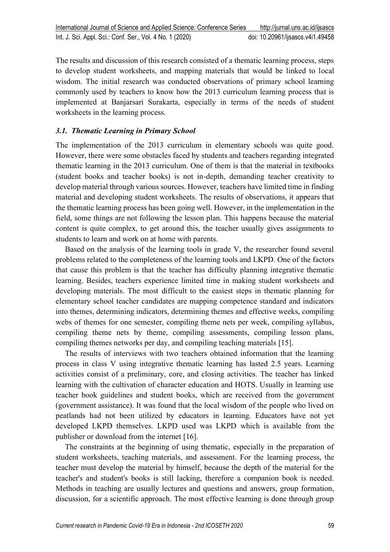The results and discussion of this research consisted of a thematic learning process, steps to develop student worksheets, and mapping materials that would be linked to local wisdom. The initial research was conducted observations of primary school learning commonly used by teachers to know how the 2013 curriculum learning process that is implemented at Banjarsari Surakarta, especially in terms of the needs of student worksheets in the learning process.

#### *3.1. Thematic Learning in Primary School*

The implementation of the 2013 curriculum in elementary schools was quite good. However, there were some obstacles faced by students and teachers regarding integrated thematic learning in the 2013 curriculum. One of them is that the material in textbooks (student books and teacher books) is not in-depth, demanding teacher creativity to develop material through various sources. However, teachers have limited time in finding material and developing student worksheets. The results of observations, it appears that the thematic learning process has been going well. However, in the implementation in the field, some things are not following the lesson plan. This happens because the material content is quite complex, to get around this, the teacher usually gives assignments to students to learn and work on at home with parents.

Based on the analysis of the learning tools in grade V, the researcher found several problems related to the completeness of the learning tools and LKPD. One of the factors that cause this problem is that the teacher has difficulty planning integrative thematic learning. Besides, teachers experience limited time in making student worksheets and developing materials. The most difficult to the easiest steps in thematic planning for elementary school teacher candidates are mapping competence standard and indicators into themes, determining indicators, determining themes and effective weeks, compiling webs of themes for one semester, compiling theme nets per week, compiling syllabus, compiling theme nets by theme, compiling assessments, compiling lesson plans, compiling themes networks per day, and compiling teaching materials [15].

The results of interviews with two teachers obtained information that the learning process in class V using integrative thematic learning has lasted 2.5 years. Learning activities consist of a preliminary, core, and closing activities. The teacher has linked learning with the cultivation of character education and HOTS. Usually in learning use teacher book guidelines and student books, which are received from the government (government assistance). It was found that the local wisdom of the people who lived on peatlands had not been utilized by educators in learning. Educators have not yet developed LKPD themselves. LKPD used was LKPD which is available from the publisher or download from the internet [16].

The constraints at the beginning of using thematic, especially in the preparation of student worksheets, teaching materials, and assessment. For the learning process, the teacher must develop the material by himself, because the depth of the material for the teacher's and student's books is still lacking, therefore a companion book is needed. Methods in teaching are usually lectures and questions and answers, group formation, discussion, for a scientific approach. The most effective learning is done through group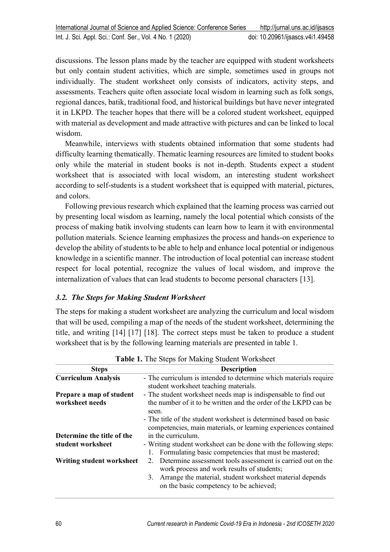discussions. The lesson plans made by the teacher are equipped with student worksheets but only contain student activities, which are simple, sometimes used in groups not individually. The student worksheet only consists of indicators, activity steps, and assessments. Teachers quite often associate local wisdom in learning such as folk songs, regional dances, batik, traditional food, and historical buildings but have never integrated it in LKPD. The teacher hopes that there will be a colored student worksheet, equipped with material as development and made attractive with pictures and can be linked to local wisdom.

Meanwhile, interviews with students obtained information that some students had difficulty learning thematically. Thematic learning resources are limited to student books only while the material in student books is not in-depth. Students expect a student worksheet that is associated with local wisdom, an interesting student worksheet according to self-students is a student worksheet that is equipped with material, pictures, and colors.

Following previous research which explained that the learning process was carried out by presenting local wisdom as learning, namely the local potential which consists of the process of making batik involving students can learn how to learn it with environmental pollution materials. Science learning emphasizes the process and hands-on experience to develop the ability of students to be able to help and enhance local potential or indigenous knowledge in a scientific manner. The introduction of local potential can increase student respect for local potential, recognize the values of local wisdom, and improve the internalization of values that can lead students to become personal characters [13].

# *3.2. The Steps for Making Student Worksheet*

The steps for making a student worksheet are analyzing the curriculum and local wisdom that will be used, compiling a map of the needs of the student worksheet, determining the title, and writing [14] [17] [18]. The correct steps must be taken to produce a student worksheet that is by the following learning materials are presented in table 1.

| <b>Table 1.</b> The bleps for making bluether worksheet |                                                                                                                                      |  |  |
|---------------------------------------------------------|--------------------------------------------------------------------------------------------------------------------------------------|--|--|
| <b>Steps</b>                                            | <b>Description</b>                                                                                                                   |  |  |
| <b>Curriculum Analysis</b>                              | - The curriculum is intended to determine which materials require                                                                    |  |  |
|                                                         | student worksheet teaching materials.                                                                                                |  |  |
| Prepare a map of student                                | - The student worksheet needs map is indispensable to find out                                                                       |  |  |
| worksheet needs                                         | the number of it to be written and the order of the LKPD can be<br>seen.                                                             |  |  |
|                                                         | - The title of the student worksheet is determined based on basic<br>competencies, main materials, or learning experiences contained |  |  |
| Determine the title of the                              | in the curriculum.                                                                                                                   |  |  |
| student worksheet                                       | - Writing student worksheet can be done with the following steps:                                                                    |  |  |
|                                                         | 1. Formulating basic competencies that must be mastered;                                                                             |  |  |
| Writing student worksheet                               | 2. Determine assessment tools assessment is carried out on the<br>work process and work results of students;                         |  |  |
|                                                         | 3. Arrange the material, student worksheet material depends<br>on the basic competency to be achieved;                               |  |  |

Table 1. The Steps for Making Student Worksheet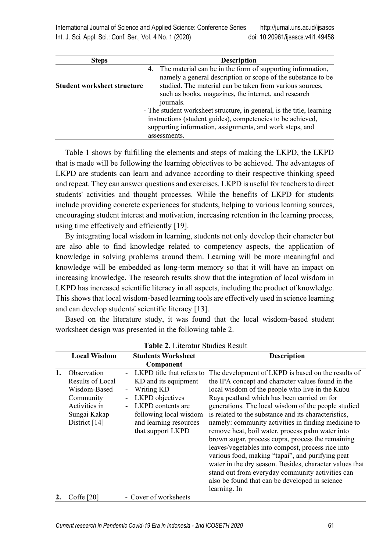| <b>Steps</b>                       |                                                             | <b>Description</b>                                                    |  |
|------------------------------------|-------------------------------------------------------------|-----------------------------------------------------------------------|--|
|                                    |                                                             | 4. The material can be in the form of supporting information,         |  |
|                                    |                                                             | namely a general description or scope of the substance to be          |  |
| <b>Student worksheet structure</b> |                                                             | studied. The material can be taken from various sources,              |  |
|                                    |                                                             | such as books, magazines, the internet, and research                  |  |
|                                    |                                                             | journals.                                                             |  |
|                                    |                                                             | - The student worksheet structure, in general, is the title, learning |  |
|                                    | instructions (student guides), competencies to be achieved, |                                                                       |  |
|                                    |                                                             | supporting information, assignments, and work steps, and              |  |
|                                    |                                                             | assessments.                                                          |  |

Table 1 shows by fulfilling the elements and steps of making the LKPD, the LKPD that is made will be following the learning objectives to be achieved. The advantages of LKPD are students can learn and advance according to their respective thinking speed and repeat. They can answer questions and exercises. LKPD is useful for teachers to direct students' activities and thought processes. While the benefits of LKPD for students include providing concrete experiences for students, helping to various learning sources, encouraging student interest and motivation, increasing retention in the learning process, using time effectively and efficiently [19].

By integrating local wisdom in learning, students not only develop their character but are also able to find knowledge related to competency aspects, the application of knowledge in solving problems around them. Learning will be more meaningful and knowledge will be embedded as long-term memory so that it will have an impact on increasing knowledge. The research results show that the integration of local wisdom in LKPD has increased scientific literacy in all aspects, including the product of knowledge. This shows that local wisdom-based learning tools are effectively used in science learning and can develop students' scientific literacy [13].

Based on the literature study, it was found that the local wisdom-based student worksheet design was presented in the following table 2.

|    | <b>Local Wisdom</b>                                                                                            | <b>Students Worksheet</b>                                                                                                                                                                                                             | <b>Description</b>                                                                                                                                                                                                                                                                                                                                                                                                                                                                                                                                                                                                                                                                                               |
|----|----------------------------------------------------------------------------------------------------------------|---------------------------------------------------------------------------------------------------------------------------------------------------------------------------------------------------------------------------------------|------------------------------------------------------------------------------------------------------------------------------------------------------------------------------------------------------------------------------------------------------------------------------------------------------------------------------------------------------------------------------------------------------------------------------------------------------------------------------------------------------------------------------------------------------------------------------------------------------------------------------------------------------------------------------------------------------------------|
|    |                                                                                                                | Component                                                                                                                                                                                                                             |                                                                                                                                                                                                                                                                                                                                                                                                                                                                                                                                                                                                                                                                                                                  |
| 1. | Observation<br>Results of Local<br>Wisdom-Based<br>Community<br>Activities in<br>Sungai Kakap<br>District [14] | LKPD title that refers to<br>KD and its equipment<br>Writing KD<br>$\overline{\phantom{0}}$<br>LKPD objectives<br>$\blacksquare$<br><b>LKPD</b> contents are<br>following local wisdom<br>and learning resources<br>that support LKPD | The development of LKPD is based on the results of<br>the IPA concept and character values found in the<br>local wisdom of the people who live in the Kubu<br>Raya peatland which has been carried on for<br>generations. The local wisdom of the people studied<br>is related to the substance and its characteristics,<br>namely: community activities in finding medicine to<br>remove heat, boil water, process palm water into<br>brown sugar, process copra, process the remaining<br>leaves/vegetables into compost, process rice into<br>various food, making "tapai", and purifying peat<br>water in the dry season. Besides, character values that<br>stand out from everyday community activities can |
|    |                                                                                                                |                                                                                                                                                                                                                                       | also be found that can be developed in science                                                                                                                                                                                                                                                                                                                                                                                                                                                                                                                                                                                                                                                                   |
|    |                                                                                                                |                                                                                                                                                                                                                                       | learning. In                                                                                                                                                                                                                                                                                                                                                                                                                                                                                                                                                                                                                                                                                                     |
|    | Coffe [20]                                                                                                     | - Cover of worksheets                                                                                                                                                                                                                 |                                                                                                                                                                                                                                                                                                                                                                                                                                                                                                                                                                                                                                                                                                                  |

| Table 2. Literatur Studies Result |  |
|-----------------------------------|--|
|-----------------------------------|--|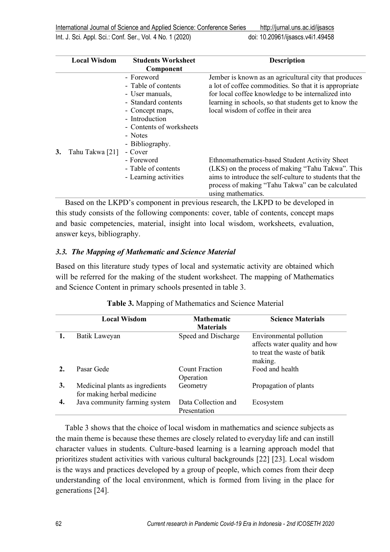International Journal of Science and Applied Science: Conference Series <http://jurnal.uns.ac.id/ijsascs>

Int. J. Sci. Appl. Sci.: Conf. Ser., Vol. 4 No. 1 (2020) doi: [10.20961/ijsascs.v4i1.49458](https://doi.org/10.20961/ijsascs.v4i1.49458)

|    | <b>Local Wisdom</b><br><b>Students Worksheet</b> |                          | <b>Description</b>                                      |
|----|--------------------------------------------------|--------------------------|---------------------------------------------------------|
|    |                                                  | Component                |                                                         |
|    |                                                  | - Foreword               | Jember is known as an agricultural city that produces   |
|    |                                                  | - Table of contents      | a lot of coffee commodities. So that it is appropriate  |
|    |                                                  | - User manuals,          | for local coffee knowledge to be internalized into      |
|    |                                                  | - Standard contents      | learning in schools, so that students get to know the   |
|    |                                                  | - Concept maps,          | local wisdom of coffee in their area                    |
|    |                                                  | - Introduction           |                                                         |
|    |                                                  | - Contents of worksheets |                                                         |
|    |                                                  | - Notes                  |                                                         |
|    |                                                  | - Bibliography.          |                                                         |
| 3. | Tahu Takwa [21]                                  | - Cover                  |                                                         |
|    |                                                  | - Foreword               | Ethnomathematics-based Student Activity Sheet           |
|    |                                                  | - Table of contents      | (LKS) on the process of making "Tahu Takwa". This       |
|    |                                                  | - Learning activities    | aims to introduce the self-culture to students that the |
|    |                                                  |                          | process of making "Tahu Takwa" can be calculated        |
|    |                                                  |                          | using mathematics.                                      |

Based on the LKPD's component in previous research, the LKPD to be developed in this study consists of the following components: cover, table of contents, concept maps and basic competencies, material, insight into local wisdom, worksheets, evaluation, answer keys, bibliography.

## *3.3. The Mapping of Mathematic and Science Material*

Based on this literature study types of local and systematic activity are obtained which will be referred for the making of the student worksheet. The mapping of Mathematics and Science Content in primary schools presented in table 3.

|    | <b>Local Wisdom</b>                                           | <b>Mathematic</b><br><b>Materials</b> | <b>Science Materials</b>                                                                           |
|----|---------------------------------------------------------------|---------------------------------------|----------------------------------------------------------------------------------------------------|
|    | Batik Laweyan                                                 | Speed and Discharge                   | Environmental pollution<br>affects water quality and how<br>to treat the waste of batik<br>making. |
|    | Pasar Gede                                                    | <b>Count Fraction</b><br>Operation    | Food and health                                                                                    |
| 3. | Medicinal plants as ingredients<br>for making herbal medicine | Geometry                              | Propagation of plants                                                                              |
| 4. | Java community farming system                                 | Data Collection and<br>Presentation   | Ecosystem                                                                                          |

#### **Table 3.** Mapping of Mathematics and Science Material

Table 3 shows that the choice of local wisdom in mathematics and science subjects as the main theme is because these themes are closely related to everyday life and can instill character values in students. Culture-based learning is a learning approach model that prioritizes student activities with various cultural backgrounds [22] [23]. Local wisdom is the ways and practices developed by a group of people, which comes from their deep understanding of the local environment, which is formed from living in the place for generations [24].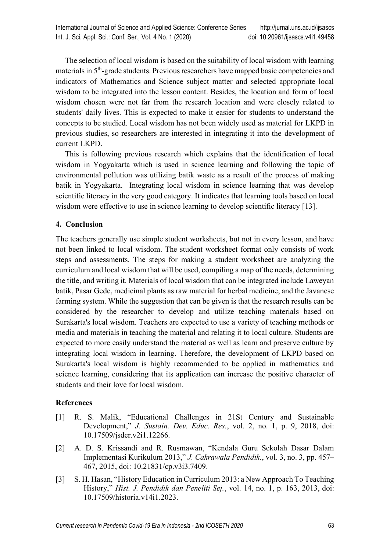The selection of local wisdom is based on the suitability of local wisdom with learning materials in 5<sup>th</sup>-grade students. Previous researchers have mapped basic competencies and indicators of Mathematics and Science subject matter and selected appropriate local wisdom to be integrated into the lesson content. Besides, the location and form of local wisdom chosen were not far from the research location and were closely related to students' daily lives. This is expected to make it easier for students to understand the concepts to be studied. Local wisdom has not been widely used as material for LKPD in previous studies, so researchers are interested in integrating it into the development of current LKPD.

This is following previous research which explains that the identification of local wisdom in Yogyakarta which is used in science learning and following the topic of environmental pollution was utilizing batik waste as a result of the process of making batik in Yogyakarta. Integrating local wisdom in science learning that was develop scientific literacy in the very good category. It indicates that learning tools based on local wisdom were effective to use in science learning to develop scientific literacy [13].

## **4. Conclusion**

The teachers generally use simple student worksheets, but not in every lesson, and have not been linked to local wisdom. The student worksheet format only consists of work steps and assessments. The steps for making a student worksheet are analyzing the curriculum and local wisdom that will be used, compiling a map of the needs, determining the title, and writing it. Materials of local wisdom that can be integrated include Laweyan batik, Pasar Gede, medicinal plants as raw material for herbal medicine, and the Javanese farming system. While the suggestion that can be given is that the research results can be considered by the researcher to develop and utilize teaching materials based on Surakarta's local wisdom. Teachers are expected to use a variety of teaching methods or media and materials in teaching the material and relating it to local culture. Students are expected to more easily understand the material as well as learn and preserve culture by integrating local wisdom in learning. Therefore, the development of LKPD based on Surakarta's local wisdom is highly recommended to be applied in mathematics and science learning, considering that its application can increase the positive character of students and their love for local wisdom.

#### **References**

- [1] R. S. Malik, "Educational Challenges in 21St Century and Sustainable Development," *J. Sustain. Dev. Educ. Res.*, vol. 2, no. 1, p. 9, 2018, doi: 10.17509/jsder.v2i1.12266.
- [2] A. D. S. Krissandi and R. Rusmawan, "Kendala Guru Sekolah Dasar Dalam Implementasi Kurikulum 2013," *J. Cakrawala Pendidik.*, vol. 3, no. 3, pp. 457– 467, 2015, doi: 10.21831/cp.v3i3.7409.
- [3] S. H. Hasan, "History Education in Curriculum 2013: a New Approach To Teaching History," *Hist. J. Pendidik dan Peneliti Sej.*, vol. 14, no. 1, p. 163, 2013, doi: 10.17509/historia.v14i1.2023.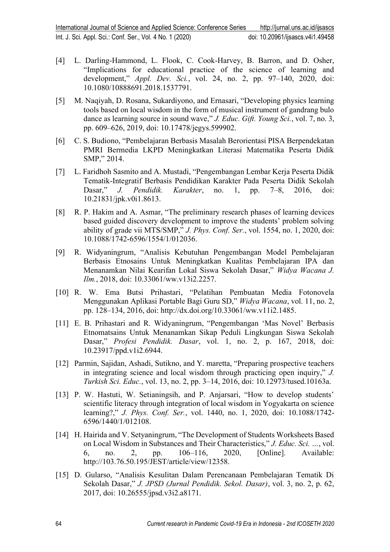- [4] L. Darling-Hammond, L. Flook, C. Cook-Harvey, B. Barron, and D. Osher, "Implications for educational practice of the science of learning and development," *Appl. Dev. Sci.*, vol. 24, no. 2, pp. 97–140, 2020, doi: 10.1080/10888691.2018.1537791.
- [5] M. Naqiyah, D. Rosana, Sukardiyono, and Ernasari, "Developing physics learning tools based on local wisdom in the form of musical instrument of gandrang bulo dance as learning source in sound wave," *J. Educ. Gift. Young Sci.*, vol. 7, no. 3, pp. 609–626, 2019, doi: 10.17478/jegys.599902.
- [6] C. S. Budiono, "Pembelajaran Berbasis Masalah Berorientasi PISA Berpendekatan PMRI Bermedia LKPD Meningkatkan Literasi Matematika Peserta Didik SMP," 2014.
- [7] L. Faridhoh Sasmito and A. Mustadi, "Pengembangan Lembar Kerja Peserta Didik Tematik-Integratif Berbasis Pendidikan Karakter Pada Peserta Didik Sekolah Dasar," *J. Pendidik. Karakter*, no. 1, pp. 7–8, 2016, doi: 10.21831/jpk.v0i1.8613.
- [8] R. P. Hakim and A. Asmar, "The preliminary research phases of learning devices based guided discovery development to improve the students' problem solving ability of grade vii MTS/SMP," *J. Phys. Conf. Ser.*, vol. 1554, no. 1, 2020, doi: 10.1088/1742-6596/1554/1/012036.
- [9] R. Widyaningrum, "Analisis Kebutuhan Pengembangan Model Pembelajaran Berbasis Etnosains Untuk Meningkatkan Kualitas Pembelajaran IPA dan Menanamkan Nilai Kearifan Lokal Siswa Sekolah Dasar," *Widya Wacana J. Ilm.*, 2018, doi: 10.33061/ww.v13i2.2257.
- [10] R. W. Ema Butsi Prihastari, "Pelatihan Pembuatan Media Fotonovela Menggunakan Aplikasi Portable Bagi Guru SD," *Widya Wacana*, vol. 11, no. 2, pp. 128–134, 2016, doi: http://dx.doi.org/10.33061/ww.v11i2.1485.
- [11] E. B. Prihastari and R. Widyaningrum, "Pengembangan 'Mas Novel' Berbasis Etnomatsains Untuk Menanamkan Sikap Peduli Lingkungan Siswa Sekolah Dasar," *Profesi Pendidik. Dasar*, vol. 1, no. 2, p. 167, 2018, doi: 10.23917/ppd.v1i2.6944.
- [12] Parmin, Sajidan, Ashadi, Sutikno, and Y. maretta, "Preparing prospective teachers" in integrating science and local wisdom through practicing open inquiry," *J. Turkish Sci. Educ.*, vol. 13, no. 2, pp. 3–14, 2016, doi: 10.12973/tused.10163a.
- [13] P. W. Hastuti, W. Setianingsih, and P. Anjarsari, "How to develop students' scientific literacy through integration of local wisdom in Yogyakarta on science learning?," *J. Phys. Conf. Ser.*, vol. 1440, no. 1, 2020, doi: 10.1088/1742- 6596/1440/1/012108.
- [14] H. Hairida and V. Setyaningrum, "The Development of Students Worksheets Based on Local Wisdom in Substances and Their Characteristics," *J. Educ. Sci. …*, vol. 6, no. 2, pp. 106–116, 2020, [Online]. Available: http://103.76.50.195/JEST/article/view/12358.
- [15] D. Gularso, "Analisis Kesulitan Dalam Perencanaan Pembelajaran Tematik Di Sekolah Dasar," *J. JPSD (Jurnal Pendidik. Sekol. Dasar)*, vol. 3, no. 2, p. 62, 2017, doi: 10.26555/jpsd.v3i2.a8171.